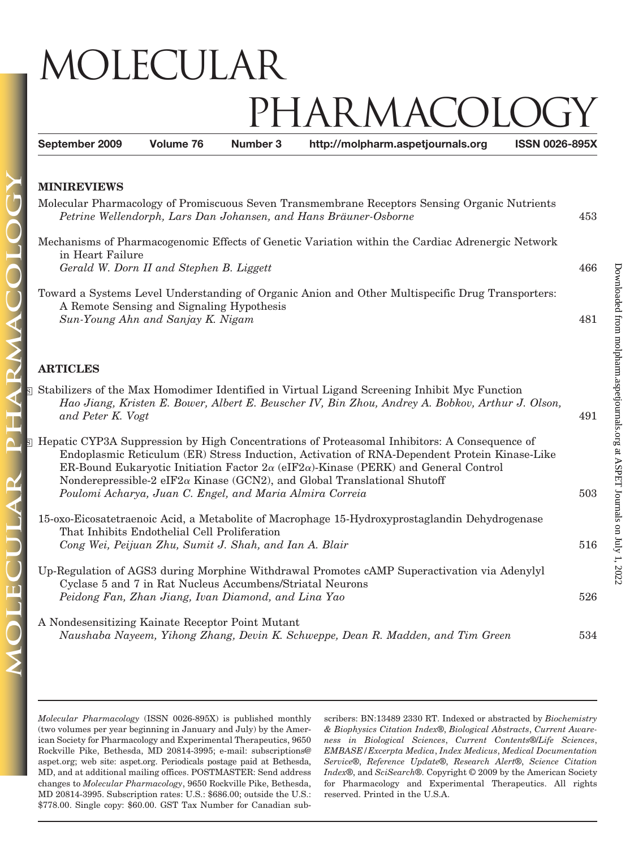## MOLECULAR IARMACC **September 2009 Volume 76 Number 3 http://molpharm.aspetjournals.org ISSN 0026-895X**

| waa vaardii vita vud                                                                                                                                                                                                                                                                                                                                                                                                                                        |     |
|-------------------------------------------------------------------------------------------------------------------------------------------------------------------------------------------------------------------------------------------------------------------------------------------------------------------------------------------------------------------------------------------------------------------------------------------------------------|-----|
| Molecular Pharmacology of Promiscuous Seven Transmembrane Receptors Sensing Organic Nutrients<br>Petrine Wellendorph, Lars Dan Johansen, and Hans Bräuner-Osborne                                                                                                                                                                                                                                                                                           | 453 |
| Mechanisms of Pharmacogenomic Effects of Genetic Variation within the Cardiac Adrenergic Network                                                                                                                                                                                                                                                                                                                                                            |     |
| in Heart Failure                                                                                                                                                                                                                                                                                                                                                                                                                                            | 466 |
| Gerald W. Dorn II and Stephen B. Liggett                                                                                                                                                                                                                                                                                                                                                                                                                    |     |
| Toward a Systems Level Understanding of Organic Anion and Other Multispecific Drug Transporters:<br>A Remote Sensing and Signaling Hypothesis<br>Sun-Young Ahn and Sanjay K. Nigam                                                                                                                                                                                                                                                                          | 481 |
|                                                                                                                                                                                                                                                                                                                                                                                                                                                             |     |
| <b>ARTICLES</b>                                                                                                                                                                                                                                                                                                                                                                                                                                             |     |
| S Stabilizers of the Max Homodimer Identified in Virtual Ligand Screening Inhibit Myc Function<br>Hao Jiang, Kristen E. Bower, Albert E. Beuscher IV, Bin Zhou, Andrey A. Bobkov, Arthur J. Olson,<br>and Peter K. Vogt                                                                                                                                                                                                                                     | 491 |
| <b>E</b> Hepatic CYP3A Suppression by High Concentrations of Proteasomal Inhibitors: A Consequence of<br>Endoplasmic Reticulum (ER) Stress Induction, Activation of RNA-Dependent Protein Kinase-Like<br>ER-Bound Eukaryotic Initiation Factor $2\alpha$ (eIF $2\alpha$ )-Kinase (PERK) and General Control<br>Nonderepressible-2 eIF2 $\alpha$ Kinase (GCN2), and Global Translational Shutoff<br>Poulomi Acharya, Juan C. Engel, and Maria Almira Correia | 503 |
|                                                                                                                                                                                                                                                                                                                                                                                                                                                             |     |
| 15-oxo-Eicosatetraenoic Acid, a Metabolite of Macrophage 15-Hydroxyprostaglandin Dehydrogenase<br>That Inhibits Endothelial Cell Proliferation                                                                                                                                                                                                                                                                                                              |     |
| Cong Wei, Peijuan Zhu, Sumit J. Shah, and Ian A. Blair                                                                                                                                                                                                                                                                                                                                                                                                      | 516 |
| Up-Regulation of AGS3 during Morphine Withdrawal Promotes cAMP Superactivation via Adenylyl<br>Cyclase 5 and 7 in Rat Nucleus Accumbens/Striatal Neurons                                                                                                                                                                                                                                                                                                    |     |

A Nondesensitizing Kainate Receptor Point Mutant *Naushaba Nayeem, Yihong Zhang, Devin K. Schweppe, Dean R. Madden, and Tim Green* 534

*Peidong Fan, Zhan Jiang, Ivan Diamond, and Lina Yao* 526

*Molecular Pharmacology* (ISSN 0026-895X) is published monthly (two volumes per year beginning in January and July) by the American Society for Pharmacology and Experimental Therapeutics, 9650 Rockville Pike, Bethesda, MD 20814-3995; e-mail: subscriptions@ aspet.org; web site: aspet.org. Periodicals postage paid at Bethesda, MD, and at additional mailing offices. POSTMASTER: Send address changes to *Molecular Pharmacology*, 9650 Rockville Pike, Bethesda, MD 20814-3995. Subscription rates: U.S.: \$686.00; outside the U.S.: \$778.00. Single copy: \$60.00. GST Tax Number for Canadian subscribers: BN:13489 2330 RT. Indexed or abstracted by *Biochemistry & Biophysics Citation Index*®, *Biological Abstracts*, *Current Awareness in Biological Sciences*, *Current Contents*®/*Life Sciences*, *EMBASE/Excerpta Medica*, *Index Medicus*, *Medical Documentation Service*®, *Reference Update*®, *Research Alert*®, *Science Citation Index*®, and *SciSearch*®. Copyright © 2009 by the American Society for Pharmacology and Experimental Therapeutics. All rights reserved. Printed in the U.S.A.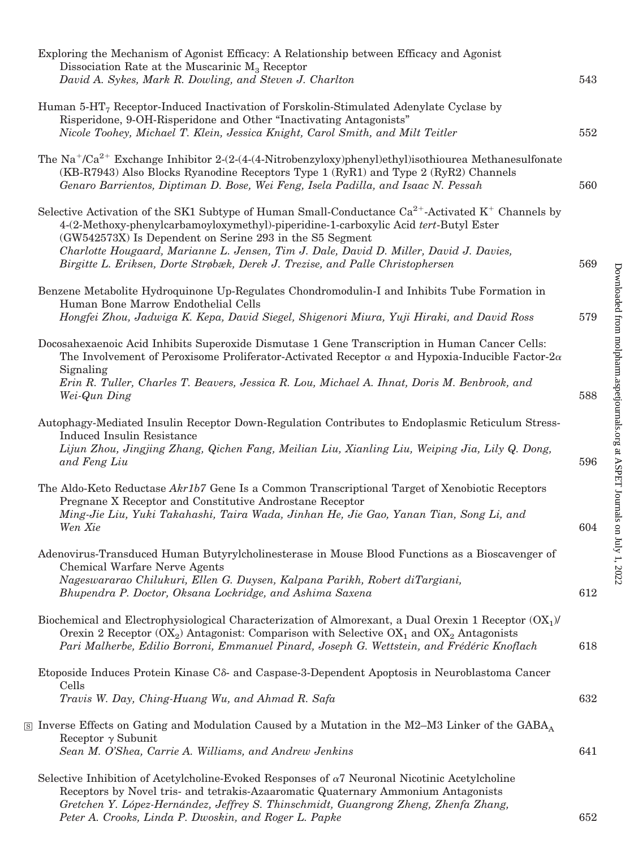| Exploring the Mechanism of Agonist Efficacy: A Relationship between Efficacy and Agonist<br>Dissociation Rate at the Muscarinic $M_3$ Receptor                                                                                                                                                                                                                                                                                                     |            |
|----------------------------------------------------------------------------------------------------------------------------------------------------------------------------------------------------------------------------------------------------------------------------------------------------------------------------------------------------------------------------------------------------------------------------------------------------|------------|
| David A. Sykes, Mark R. Dowling, and Steven J. Charlton                                                                                                                                                                                                                                                                                                                                                                                            | 543        |
| Human $5-HT7$ Receptor-Induced Inactivation of Forskolin-Stimulated Adenylate Cyclase by<br>Risperidone, 9-OH-Risperidone and Other "Inactivating Antagonists"<br>Nicole Toohey, Michael T. Klein, Jessica Knight, Carol Smith, and Milt Teitler                                                                                                                                                                                                   | 552        |
| The Na <sup>+</sup> /Ca <sup>2+</sup> Exchange Inhibitor 2-(2-(4-(4-Nitrobenzyloxy)phenyl)ethyl)isothiourea Methanesulfonate<br>(KB-R7943) Also Blocks Ryanodine Receptors Type 1 (RyR1) and Type 2 (RyR2) Channels<br>Genaro Barrientos, Diptiman D. Bose, Wei Feng, Isela Padilla, and Isaac N. Pessah                                                                                                                                           | 560        |
| Selective Activation of the SK1 Subtype of Human Small-Conductance $Ca^{2+}$ -Activated K <sup>+</sup> Channels by<br>4-(2-Methoxy-phenylcarbamoyloxymethyl)-piperidine-1-carboxylic Acid tert-Butyl Ester<br>(GW542573X) Is Dependent on Serine 293 in the S5 Segment<br>Charlotte Hougaard, Marianne L. Jensen, Tim J. Dale, David D. Miller, David J. Davies,<br>Birgitte L. Eriksen, Dorte Strøbæk, Derek J. Trezise, and Palle Christophersen | 569        |
| Benzene Metabolite Hydroquinone Up-Regulates Chondromodulin-I and Inhibits Tube Formation in<br>Human Bone Marrow Endothelial Cells<br>Hongfei Zhou, Jadwiga K. Kepa, David Siegel, Shigenori Miura, Yuji Hiraki, and David Ross                                                                                                                                                                                                                   | 579        |
| Docosahexaenoic Acid Inhibits Superoxide Dismutase 1 Gene Transcription in Human Cancer Cells:<br>The Involvement of Peroxisome Proliferator-Activated Receptor $\alpha$ and Hypoxia-Inducible Factor-2 $\alpha$<br>Signaling<br>Erin R. Tuller, Charles T. Beavers, Jessica R. Lou, Michael A. Ihnat, Doris M. Benbrook, and                                                                                                                      |            |
| Wei-Qun Ding<br>Autophagy-Mediated Insulin Receptor Down-Regulation Contributes to Endoplasmic Reticulum Stress-<br><b>Induced Insulin Resistance</b><br>Lijun Zhou, Jingjing Zhang, Qichen Fang, Meilian Liu, Xianling Liu, Weiping Jia, Lily Q. Dong,<br>and Feng Liu                                                                                                                                                                            | 588<br>596 |
| The Aldo-Keto Reductase Akr1b7 Gene Is a Common Transcriptional Target of Xenobiotic Receptors<br>Pregnane X Receptor and Constitutive Androstane Receptor<br>Ming-Jie Liu, Yuki Takahashi, Taira Wada, Jinhan He, Jie Gao, Yanan Tian, Song Li, and<br>Wen Xie                                                                                                                                                                                    | 604        |
| Adenovirus-Transduced Human Butyrylcholinesterase in Mouse Blood Functions as a Bioscavenger of<br><b>Chemical Warfare Nerve Agents</b><br>Nageswararao Chilukuri, Ellen G. Duysen, Kalpana Parikh, Robert diTargiani,<br>Bhupendra P. Doctor, Oksana Lockridge, and Ashima Saxena                                                                                                                                                                 | 612        |
| Biochemical and Electrophysiological Characterization of Almorexant, a Dual Orexin 1 Receptor $(OX_1)$<br>Orexin 2 Receptor $(OX_2)$ Antagonist: Comparison with Selective $OX_1$ and $OX_2$ Antagonists<br>Pari Malherbe, Edilio Borroni, Emmanuel Pinard, Joseph G. Wettstein, and Frédéric Knoflach                                                                                                                                             | 618        |
| Etoposide Induces Protein Kinase $C\delta$ - and Caspase-3-Dependent Apoptosis in Neuroblastoma Cancer<br>Cells<br>Travis W. Day, Ching-Huang Wu, and Ahmad R. Safa                                                                                                                                                                                                                                                                                | 632        |
| $\overline{\mathbb{S}}$ Inverse Effects on Gating and Modulation Caused by a Mutation in the M2–M3 Linker of the GABA <sub>A</sub><br>Receptor $\gamma$ Subunit<br>Sean M. O'Shea, Carrie A. Williams, and Andrew Jenkins                                                                                                                                                                                                                          | 641        |
| Selective Inhibition of Acetylcholine-Evoked Responses of $\alpha$ 7 Neuronal Nicotinic Acetylcholine<br>Receptors by Novel tris- and tetrakis-Azaaromatic Quaternary Ammonium Antagonists<br>Gretchen Y. López-Hernández, Jeffrey S. Thinschmidt, Guangrong Zheng, Zhenfa Zhang,<br>Peter A. Crooks, Linda P. Dwoskin, and Roger L. Papke                                                                                                         | 652        |